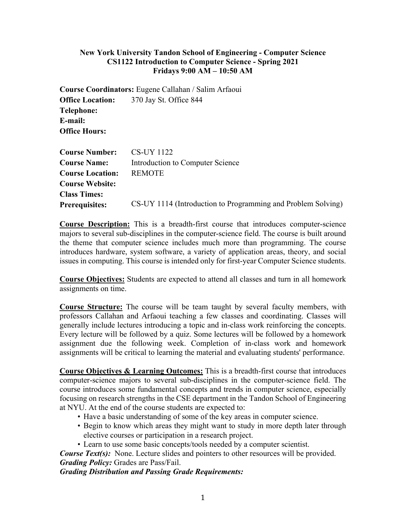#### **New York University Tandon School of Engineering - Computer Science CS1122 Introduction to Computer Science - Spring 2021 Fridays 9:00 AM – 10:50 AM**

**Course Coordinators:** Eugene Callahan / Salim Arfaoui **Office Location:** 370 Jay St. Office 844 **Telephone: E-mail: Office Hours:**

| <b>Course Number:</b>   | CS-UY 1122                                                   |
|-------------------------|--------------------------------------------------------------|
| <b>Course Name:</b>     | Introduction to Computer Science                             |
| <b>Course Location:</b> | <b>REMOTE</b>                                                |
| <b>Course Website:</b>  |                                                              |
| <b>Class Times:</b>     |                                                              |
| <b>Prerequisites:</b>   | CS-UY 1114 (Introduction to Programming and Problem Solving) |

**Course Description:** This is a breadth-first course that introduces computer-science majors to several sub-disciplines in the computer-science field. The course is built around the theme that computer science includes much more than programming. The course introduces hardware, system software, a variety of application areas, theory, and social issues in computing. This course is intended only for first-year Computer Science students.

**Course Objectives:** Students are expected to attend all classes and turn in all homework assignments on time.

**Course Structure:** The course will be team taught by several faculty members, with professors Callahan and Arfaoui teaching a few classes and coordinating. Classes will generally include lectures introducing a topic and in-class work reinforcing the concepts. Every lecture will be followed by a quiz. Some lectures will be followed by a homework assignment due the following week. Completion of in-class work and homework assignments will be critical to learning the material and evaluating students' performance.

**Course Objectives & Learning Outcomes:** This is a breadth-first course that introduces computer-science majors to several sub-disciplines in the computer-science field. The course introduces some fundamental concepts and trends in computer science, especially focusing on research strengths in the CSE department in the Tandon School of Engineering at NYU. At the end of the course students are expected to:

- Have a basic understanding of some of the key areas in computer science.
- Begin to know which areas they might want to study in more depth later through elective courses or participation in a research project.
- Learn to use some basic concepts/tools needed by a computer scientist.

*Course Text(s)*: None. Lecture slides and pointers to other resources will be provided. *Grading Policy:* Grades are Pass/Fail.

*Grading Distribution and Passing Grade Requirements:*